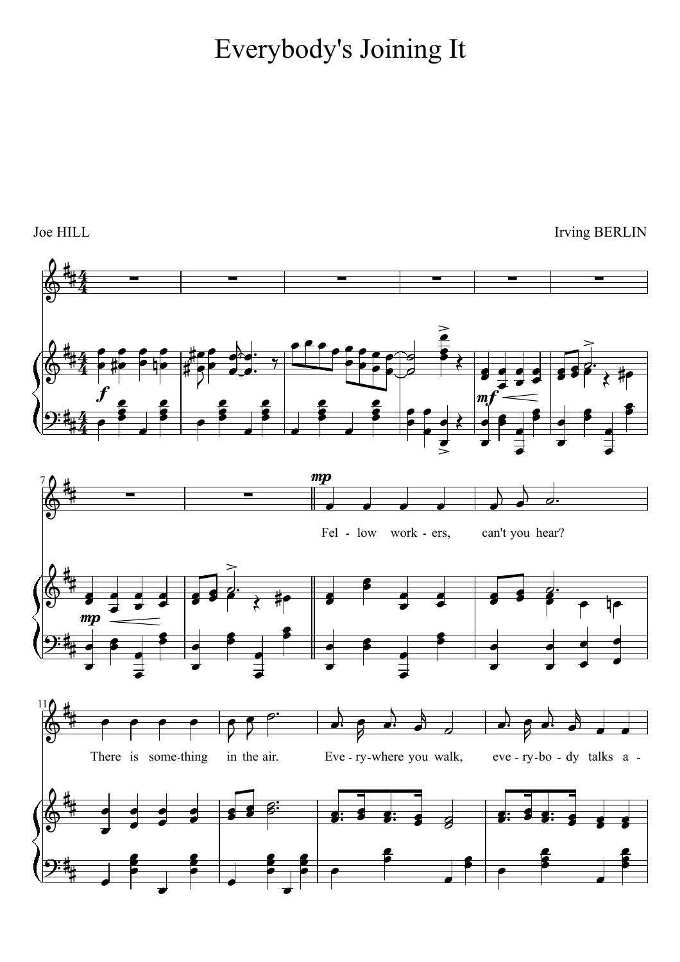## <sup>15</sup> Everybody's Joining It

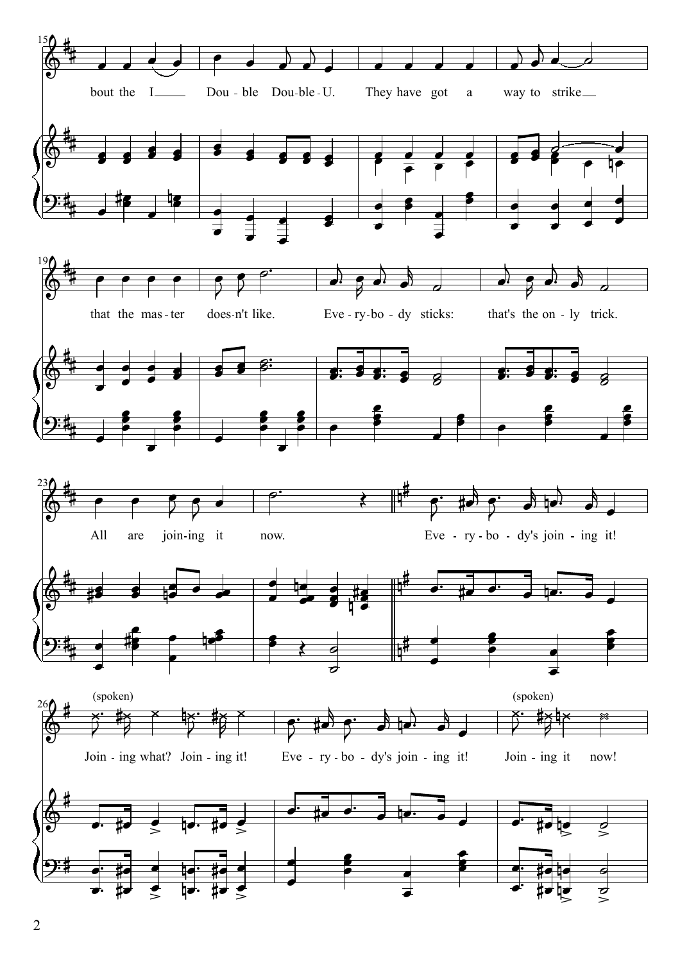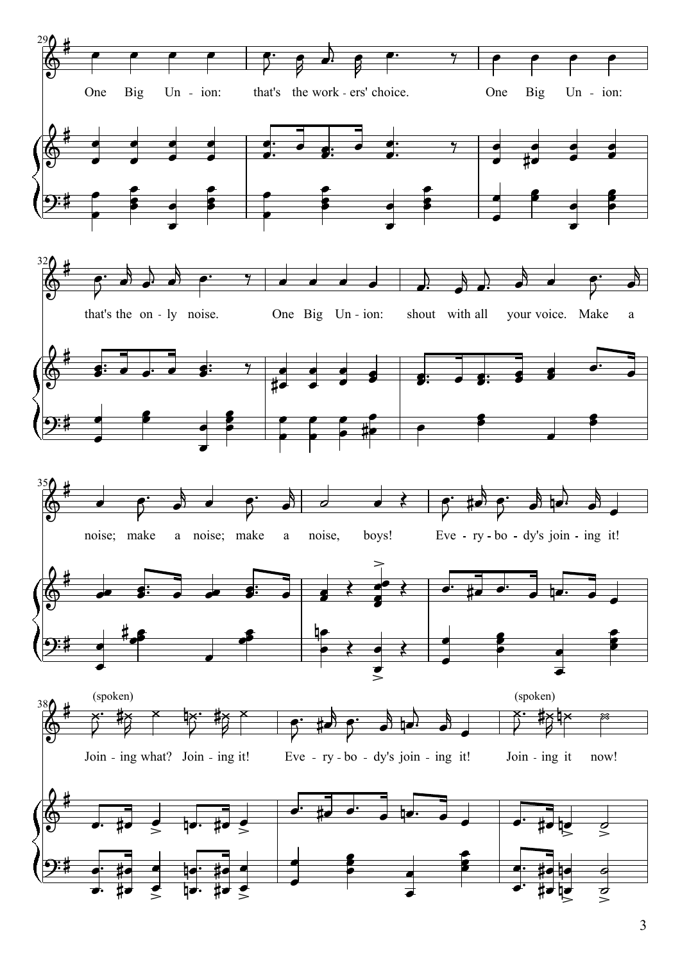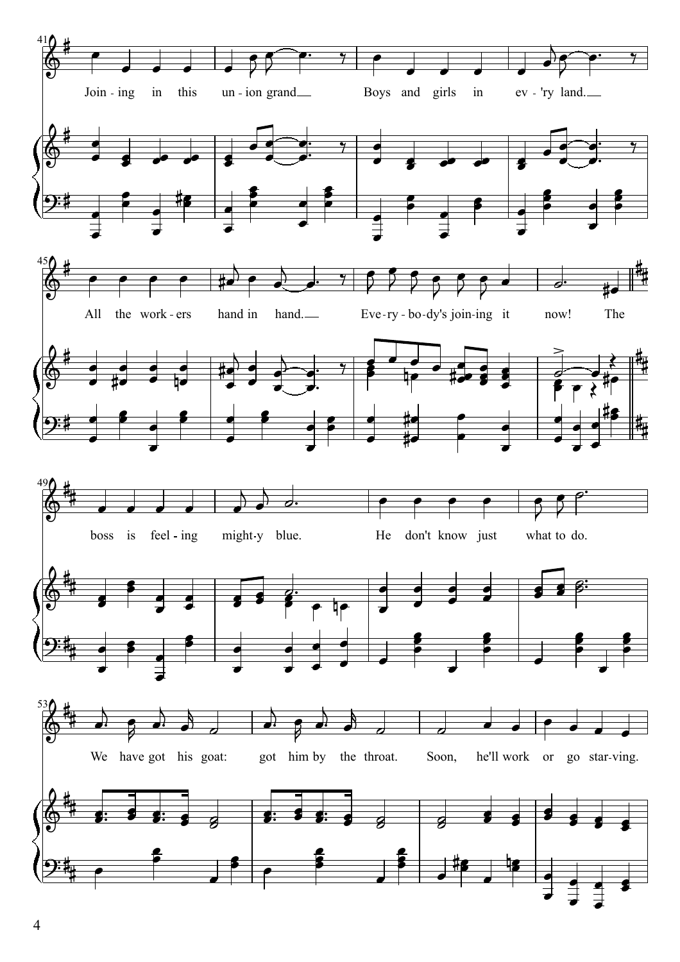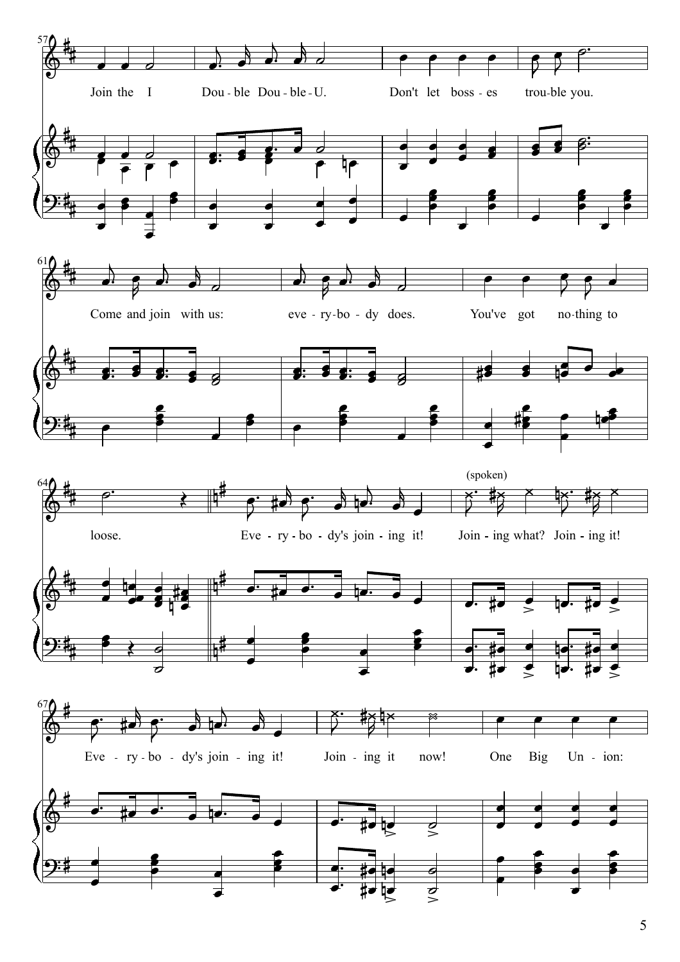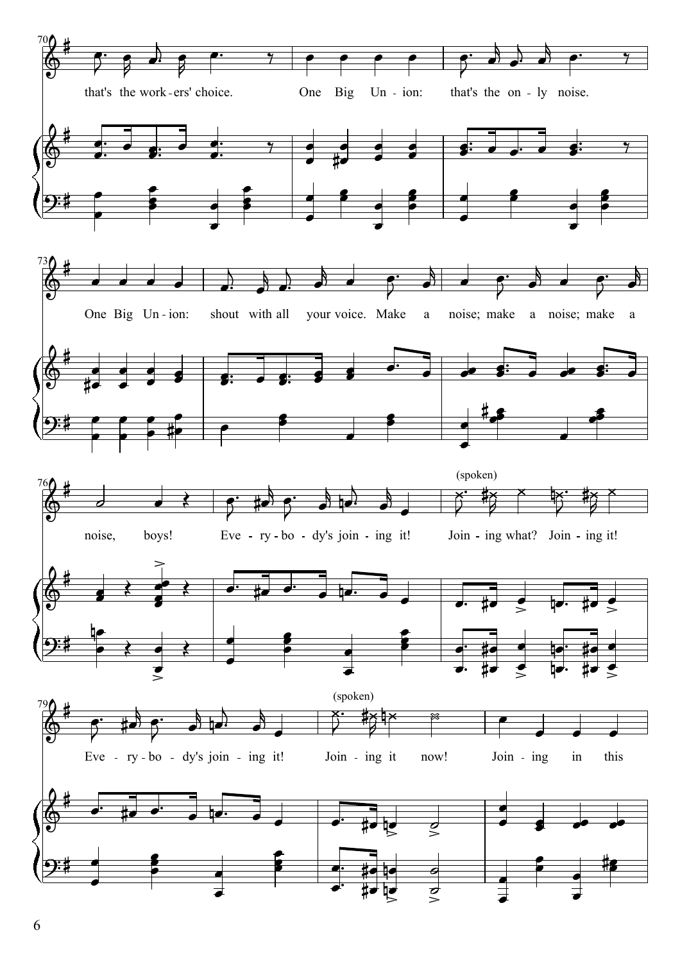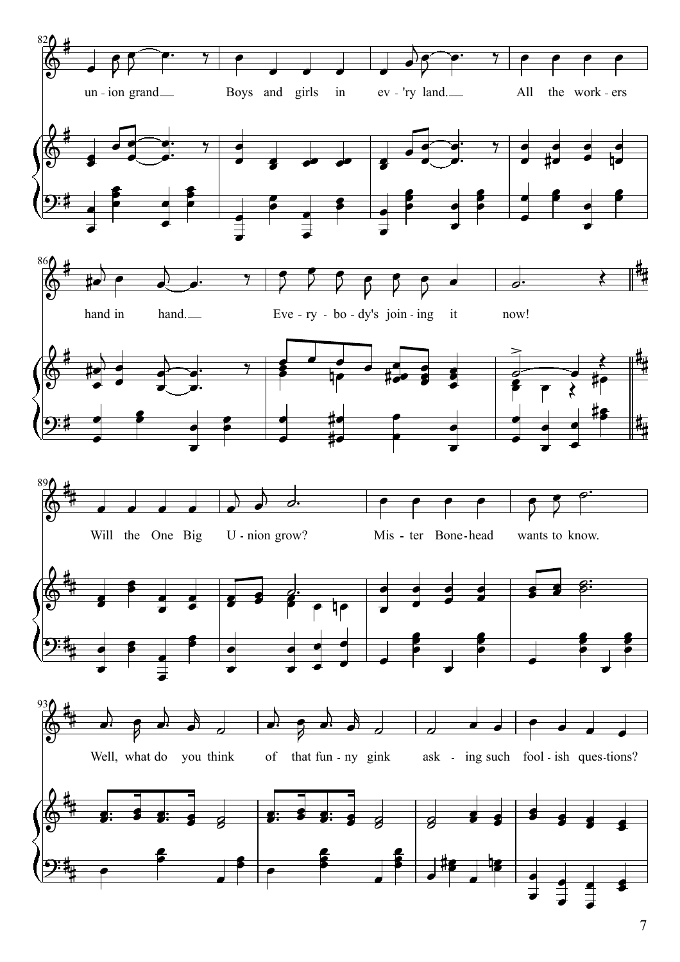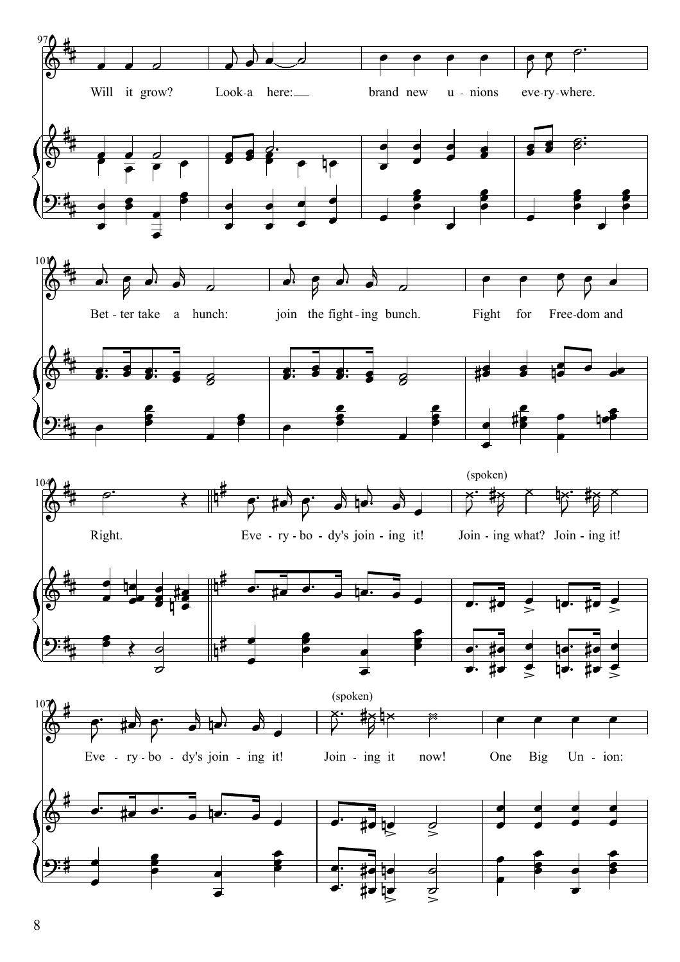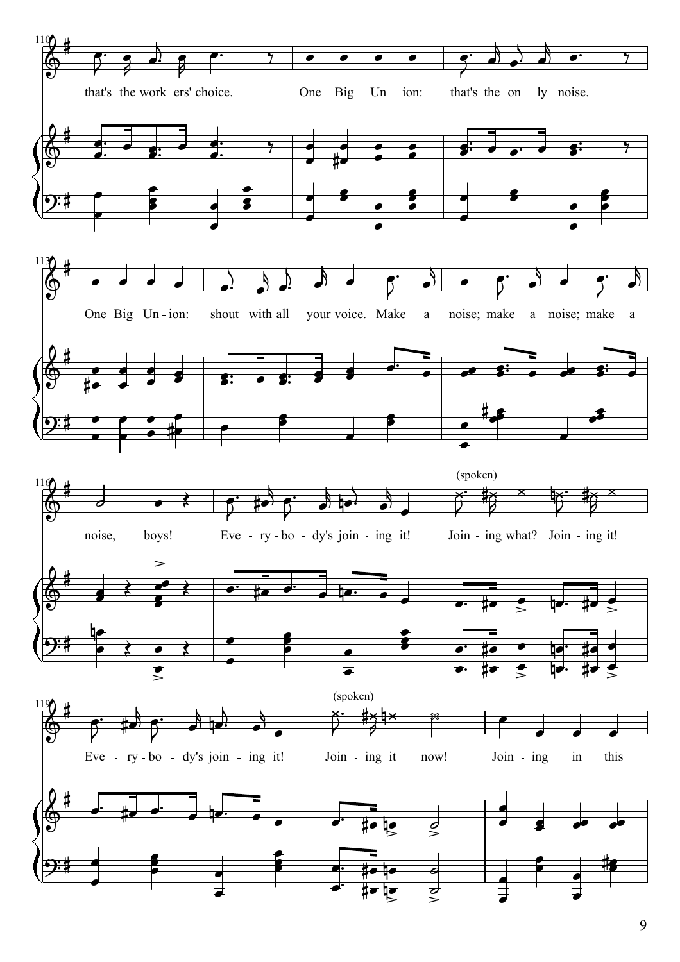